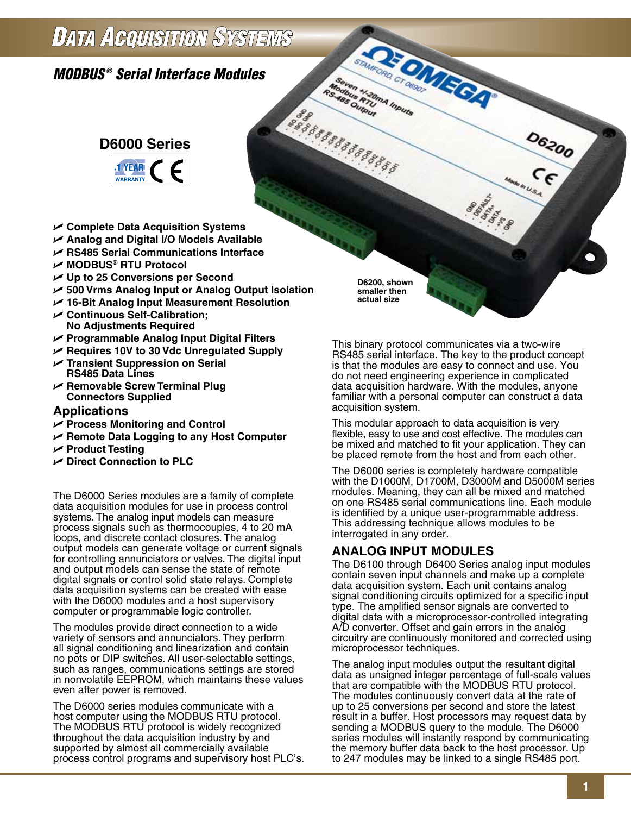## **DATA ACQUISITION SYSTEMS**

## *MODBUS ® Serial Interface Modules*



- U **Complete Data Acquisition Systems**
- U **Analog and Digital I/O Models Available**
- U **RS485 Serial Communications Interface**
- U **MODBUS® RTU Protocol**
- **► Up to 25 Conversions per Second**
- U **500 Vrms Analog Input or Analog Output Isolation**
- U **16-Bit Analog Input Measurement Resolution**
- U **Continuous Self-Calibration; No Adjustments Required**
- U **Programmable Analog Input Digital Filters**
- U **Requires 10V to 30 Vdc Unregulated Supply**
- U **Transient Suppression on Serial RS485 Data Lines**
- U **Removable Screw Terminal Plug Connectors Supplied**

#### **Applications**

- U **Process Monitoring and Control**
- U **Remote Data Logging to any Host Computer**
- U **Product Testing**
- U **Direct Connection to PLC**

The D6000 Series modules are a family of complete data acquisition modules for use in process control systems. The analog input models can measure process signals such as thermocouples, 4 to 20 mA loops, and discrete contact closures. The analog output models can generate voltage or current signals for controlling annunciators or valves. The digital input and output models can sense the state of remote digital signals or control solid state relays. Complete data acquisition systems can be created with ease with the D6000 modules and a host supervisory computer or programmable logic controller.

The modules provide direct connection to a wide variety of sensors and annunciators. They perform all signal conditioning and linearization and contain no pots or DIP switches. All user-selectable settings, such as ranges, communications settings are stored in nonvolatile EEPROM, which maintains these values even after power is removed.

The D6000 series modules communicate with a host computer using the MODBUS RTU protocol. The MODBUS RTU protocol is widely recognized throughout the data acquisition industry by and supported by almost all commercially available process control programs and supervisory host PLC's. **D6200, shown smaller then actual size**

**Moorent H.20mA Inputs** 

**Modibus FTURES ARE** 

8888888888888888

**REDITECATION** 

This binary protocol communicates via a two-wire RS485 serial interface. The key to the product concept is that the modules are easy to connect and use. You do not need engineering experience in complicated data acquisition hardware. With the modules, anyone familiar with a personal computer can construct a data acquisition system.

**SHARE** 

**D6200** 

This modular approach to data acquisition is very flexible, easy to use and cost effective. The modules can be mixed and matched to fit your application. They can be placed remote from the host and from each other.

The D6000 series is completely hardware compatible with the D1000M, D1700M, D3000M and D5000M series modules. Meaning, they can all be mixed and matched on one RS485 serial communications line. Each module is identified by a unique user-programmable address. This addressing technique allows modules to be interrogated in any order.

## **ANALOG INPUT MODULES**

The D6100 through D6400 Series analog input modules contain seven input channels and make up a complete data acquisition system. Each unit contains analog signal conditioning circuits optimized for a specific input type. The amplified sensor signals are converted to digital data with a microprocessor-controlled integrating A/D converter. Offset and gain errors in the analog circuitry are continuously monitored and corrected using microprocessor techniques.

The analog input modules output the resultant digital data as unsigned integer percentage of full-scale values that are compatible with the MODBUS RTU protocol. The modules continuously convert data at the rate of up to 25 conversions per second and store the latest result in a buffer. Host processors may request data by sending a MODBUS query to the module. The D6000 series modules will instantly respond by communicating the memory buffer data back to the host processor. Up to 247 modules may be linked to a single RS485 port.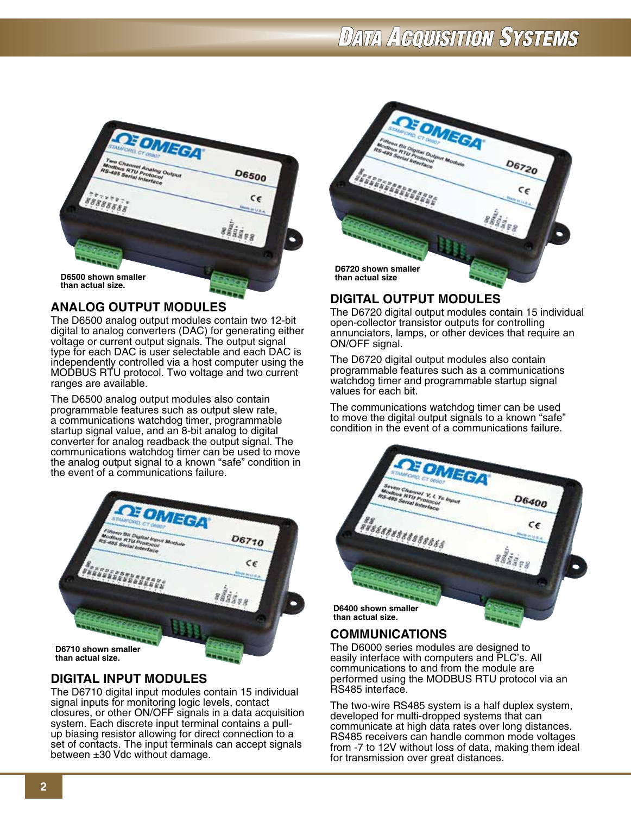# **DATA AGQUISITION SYSTEMS**



## **ANALOG OUTPUT MODULES**

The D6500 analog output modules contain two 12-bit digital to analog converters (DAC) for generating either voltage or current output signals. The output signal type for each DAC is user selectable and each DAC is independently controlled via a host computer using the MODBUS RTU protocol. Two voltage and two current ranges are available.

The D6500 analog output modules also contain programmable features such as output slew rate, a communications watchdog timer, programmable startup signal value, and an 8-bit analog to digital converter for analog readback the output signal. The communications watchdog timer can be used to move the analog output signal to a known "safe" condition in the event of a communications failure.



## **DIGITAL INPUT MODULES**

The D6710 digital input modules contain 15 individual signal inputs for monitoring logic levels, contact closures, or other ON/OFF signals in a data acquisition system. Each discrete input terminal contains a pullup biasing resistor allowing for direct connection to a set of contacts. The input terminals can accept signals between ±30 Vdc without damage.



## **DIGITAL OUTPUT MODULES**

The D6720 digital output modules contain 15 individual open-collector transistor outputs for controlling annunciators, lamps, or other devices that require an ON/OFF signal.

The D6720 digital output modules also contain programmable features such as a communications watchdog timer and programmable startup signal values for each bit.

The communications watchdog timer can be used to move the digital output signals to a known "safe" condition in the event of a communications failure.



## **COMMUNICATIONS**

The D6000 series modules are designed to easily interface with computers and PLC's. All communications to and from the module are performed using the MODBUS RTU protocol via an RS485 interface.

The two-wire RS485 system is a half duplex system, developed for multi-dropped systems that can communicate at high data rates over long distances. RS485 receivers can handle common mode voltages from -7 to 12V without loss of data, making them ideal for transmission over great distances.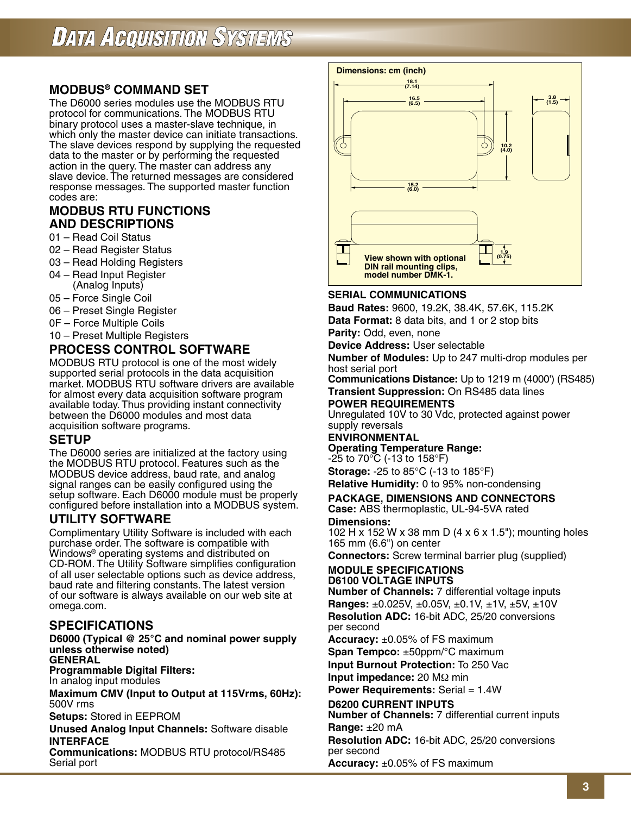## **MODBUS® COMMAND SET**

The D6000 series modules use the MODBUS RTU protocol for communications. The MODBUS RTU binary protocol uses a master-slave technique, in which only the master device can initiate transactions. The slave devices respond by supplying the requested data to the master or by performing the requested action in the query. The master can address any slave device. The returned messages are considered response messages. The supported master function codes are:

#### **Modbus RTU Functions and Descriptions**

- 01 Read Coil Status
- 02 Read Register Status
- 03 Read Holding Registers
- 04 Read Input Register (Analog Inputs)
- 05 Force Single Coil
- 06 Preset Single Register
- 0F Force Multiple Coils
- 10 Preset Multiple Registers

## **PROCESS CONTROL SOFTWARE**

MODBUS RTU protocol is one of the most widely supported serial protocols in the data acquisition market. MODBUS RTU software drivers are available for almost every data acquisition software program available today. Thus providing instant connectivity between the D6000 modules and most data acquisition software programs.

#### **SETUP**

The D6000 series are initialized at the factory using the MODBUS RTU protocol. Features such as the MODBUS device address, baud rate, and analog signal ranges can be easily configured using the setup software. Each D6000 module must be properly configured before installation into a MODBUS system.

## **UTILITY SOFTWARE**

Complimentary Utility Software is included with each purchase order. The software is compatible with Windows® operating systems and distributed on CD-ROM. The Utility Software simplifies configuration of all user selectable options such as device address, baud rate and filtering constants. The latest version of our software is always available on our web site at omega.com.

## **SPECIFICATIONS**

**D6000 (Typical @ 25°C and nominal power supply unless otherwise noted) General**

**Programmable Digital Filters:**

In analog input modules

**Maximum CMV (Input to Output at 115Vrms, 60Hz):** 500V rms

**Setups:** Stored in EEPROM

**Unused Analog Input Channels:** Software disable **Interface**

**Communications: MODBUS RTU protocol/RS485** Serial port



#### **Serial Communications**

**Baud Rates:** 9600, 19.2K, 38.4K, 57.6K, 115.2K **Data Format:** 8 data bits, and 1 or 2 stop bits

**Parity:** Odd, even, none

**Device Address:** User selectable

**Number of Modules:** Up to 247 multi-drop modules per host serial port

**Communications Distance:** Up to 1219 m (4000') (RS485) **Transient Suppression:** On RS485 data lines

#### **Power Requirements**

Unregulated 10V to 30 Vdc, protected against power supply reversals

#### **Environmental Operating Temperature Range:**

-25 to 70°C (-13 to 158°F)

**Storage:** -25 to 85°C (-13 to 185°F) **Relative Humidity:** 0 to 95% non-condensing

#### **Package, Dimensions and Connectors Case:** ABS thermoplastic, UL-94-5VA rated

**Dimensions:**

102 H x 152 W x 38 mm D (4 x 6 x 1.5"); mounting holes 165 mm (6.6") on center

**Connectors:** Screw terminal barrier plug (supplied)

#### **MODULE SPECIFICATIONS D6100 Voltage Inputs**

**Number of Channels:** 7 differential voltage inputs **Ranges:** ±0.025V, ±0.05V, ±0.1V, ±1V, ±5V, ±10V **Resolution ADC:** 16-bit ADC, 25/20 conversions per second

**Accuracy:** ±0.05% of FS maximum

**Span Tempco:** ±50ppm/°C maximum **Input Burnout Protection:** To 250 Vac

**Input impedance:** 20 MΩ min **Power Requirements:** Serial = 1.4W

**D6200 Current Inputs**

**Number of Channels:** 7 differential current inputs **Range:** ±20 mA

**Resolution ADC:** 16-bit ADC, 25/20 conversions per second

**Accuracy:** ±0.05% of FS maximum